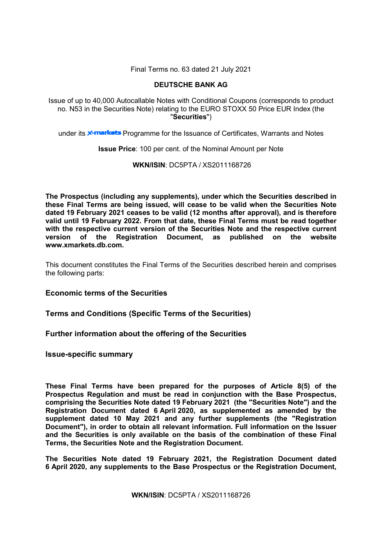Final Terms no. 63 dated 21 July 2021

# **DEUTSCHE BANK AG**

Issue of up to 40,000 Autocallable Notes with Conditional Coupons (corresponds to product no. N53 in the Securities Note) relating to the EURO STOXX 50 Price EUR Index (the "**Securities**")

under its **x-markets** Programme for the Issuance of Certificates, Warrants and Notes

**Issue Price**: 100 per cent. of the Nominal Amount per Note

**WKN/ISIN**: DC5PTA / XS2011168726

**The Prospectus (including any supplements), under which the Securities described in these Final Terms are being issued, will cease to be valid when the Securities Note dated 19 February 2021 ceases to be valid (12 months after approval), and is therefore valid until 19 February 2022. From that date, these Final Terms must be read together with the respective current version of the Securities Note and the respective current version of the Registration Document, as published on the website www.xmarkets.db.com.**

This document constitutes the Final Terms of the Securities described herein and comprises the following parts:

**Economic terms of the Securities**

**Terms and Conditions (Specific Terms of the Securities)**

**Further information about the offering of the Securities**

**Issue-specific summary**

**These Final Terms have been prepared for the purposes of Article 8(5) of the Prospectus Regulation and must be read in conjunction with the Base Prospectus, comprising the Securities Note dated 19 February 2021 (the "Securities Note") and the Registration Document dated 6 April 2020, as supplemented as amended by the supplement dated 10 May 2021 and any further supplements (the "Registration Document"), in order to obtain all relevant information. Full information on the Issuer and the Securities is only available on the basis of the combination of these Final Terms, the Securities Note and the Registration Document.** 

**The Securities Note dated 19 February 2021, the Registration Document dated 6 April 2020, any supplements to the Base Prospectus or the Registration Document,**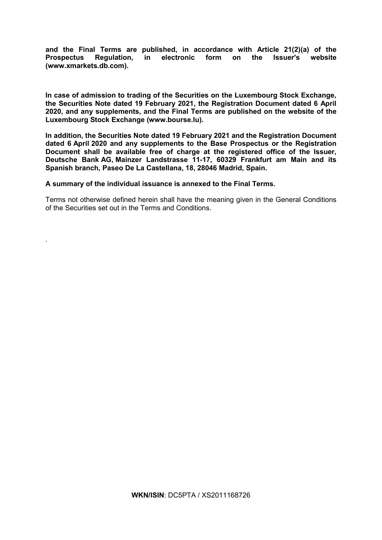**and the Final Terms are published, in accordance with Article 21(2)(a) of the Prospectus Regulation, in electronic form on the Issuer's website [\(www.xmarkets.db.com\)](http://www.xmarkets.db.com/).**

**In case of admission to trading of the Securities on the Luxembourg Stock Exchange, the Securities Note dated 19 February 2021, the Registration Document dated 6 April 2020, and any supplements, and the Final Terms are published on the website of the Luxembourg Stock Exchange (www.bourse.lu).**

**In addition, the Securities Note dated 19 February 2021 and the Registration Document dated 6 April 2020 and any supplements to the Base Prospectus or the Registration Document shall be available free of charge at the registered office of the Issuer, Deutsche Bank AG, Mainzer Landstrasse 11-17, 60329 Frankfurt am Main and its Spanish branch, Paseo De La Castellana, 18, 28046 Madrid, Spain.**

## **A summary of the individual issuance is annexed to the Final Terms.**

.

Terms not otherwise defined herein shall have the meaning given in the General Conditions of the Securities set out in the Terms and Conditions.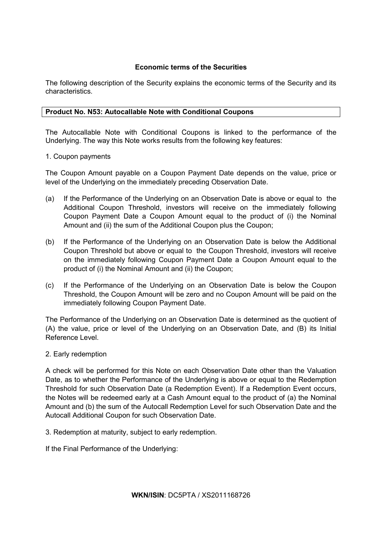# **Economic terms of the Securities**

The following description of the Security explains the economic terms of the Security and its characteristics.

# **Product No. N53: Autocallable Note with Conditional Coupons**

The Autocallable Note with Conditional Coupons is linked to the performance of the Underlying. The way this Note works results from the following key features:

## 1. Coupon payments

The Coupon Amount payable on a Coupon Payment Date depends on the value, price or level of the Underlying on the immediately preceding Observation Date.

- (a) If the Performance of the Underlying on an Observation Date is above or equal to the Additional Coupon Threshold, investors will receive on the immediately following Coupon Payment Date a Coupon Amount equal to the product of (i) the Nominal Amount and (ii) the sum of the Additional Coupon plus the Coupon;
- (b) If the Performance of the Underlying on an Observation Date is below the Additional Coupon Threshold but above or equal to the Coupon Threshold, investors will receive on the immediately following Coupon Payment Date a Coupon Amount equal to the product of (i) the Nominal Amount and (ii) the Coupon;
- (c) If the Performance of the Underlying on an Observation Date is below the Coupon Threshold, the Coupon Amount will be zero and no Coupon Amount will be paid on the immediately following Coupon Payment Date.

The Performance of the Underlying on an Observation Date is determined as the quotient of (A) the value, price or level of the Underlying on an Observation Date, and (B) its Initial Reference Level.

## 2. Early redemption

A check will be performed for this Note on each Observation Date other than the Valuation Date, as to whether the Performance of the Underlying is above or equal to the Redemption Threshold for such Observation Date (a Redemption Event). If a Redemption Event occurs, the Notes will be redeemed early at a Cash Amount equal to the product of (a) the Nominal Amount and (b) the sum of the Autocall Redemption Level for such Observation Date and the Autocall Additional Coupon for such Observation Date.

3. Redemption at maturity, subject to early redemption.

If the Final Performance of the Underlying: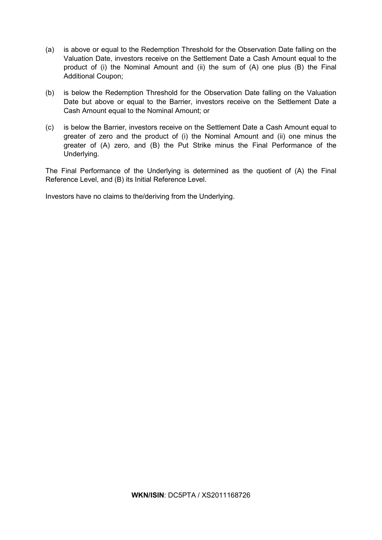- (a) is above or equal to the Redemption Threshold for the Observation Date falling on the Valuation Date, investors receive on the Settlement Date a Cash Amount equal to the product of (i) the Nominal Amount and (ii) the sum of (A) one plus (B) the Final Additional Coupon;
- (b) is below the Redemption Threshold for the Observation Date falling on the Valuation Date but above or equal to the Barrier, investors receive on the Settlement Date a Cash Amount equal to the Nominal Amount; or
- (c) is below the Barrier, investors receive on the Settlement Date a Cash Amount equal to greater of zero and the product of (i) the Nominal Amount and (ii) one minus the greater of (A) zero, and (B) the Put Strike minus the Final Performance of the Underlying.

The Final Performance of the Underlying is determined as the quotient of (A) the Final Reference Level, and (B) its Initial Reference Level.

Investors have no claims to the/deriving from the Underlying.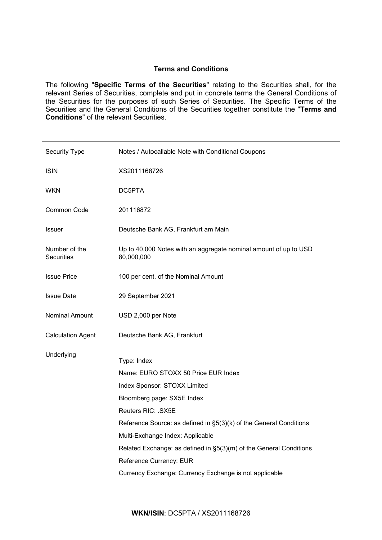# **Terms and Conditions**

The following "**Specific Terms of the Securities**" relating to the Securities shall, for the relevant Series of Securities, complete and put in concrete terms the General Conditions of the Securities for the purposes of such Series of Securities. The Specific Terms of the Securities and the General Conditions of the Securities together constitute the "**Terms and Conditions**" of the relevant Securities.

| Notes / Autocallable Note with Conditional Coupons                                                                                                                                                                                                                                                                                                                                                          |
|-------------------------------------------------------------------------------------------------------------------------------------------------------------------------------------------------------------------------------------------------------------------------------------------------------------------------------------------------------------------------------------------------------------|
| XS2011168726                                                                                                                                                                                                                                                                                                                                                                                                |
| DC5PTA                                                                                                                                                                                                                                                                                                                                                                                                      |
| 201116872                                                                                                                                                                                                                                                                                                                                                                                                   |
| Deutsche Bank AG, Frankfurt am Main                                                                                                                                                                                                                                                                                                                                                                         |
| Up to 40,000 Notes with an aggregate nominal amount of up to USD<br>80,000,000                                                                                                                                                                                                                                                                                                                              |
| 100 per cent. of the Nominal Amount                                                                                                                                                                                                                                                                                                                                                                         |
| 29 September 2021                                                                                                                                                                                                                                                                                                                                                                                           |
| USD 2,000 per Note                                                                                                                                                                                                                                                                                                                                                                                          |
| Deutsche Bank AG, Frankfurt                                                                                                                                                                                                                                                                                                                                                                                 |
| Type: Index<br>Name: EURO STOXX 50 Price EUR Index<br>Index Sponsor: STOXX Limited<br>Bloomberg page: SX5E Index<br>Reuters RIC: .SX5E<br>Reference Source: as defined in §5(3)(k) of the General Conditions<br>Multi-Exchange Index: Applicable<br>Related Exchange: as defined in §5(3)(m) of the General Conditions<br>Reference Currency: EUR<br>Currency Exchange: Currency Exchange is not applicable |
|                                                                                                                                                                                                                                                                                                                                                                                                             |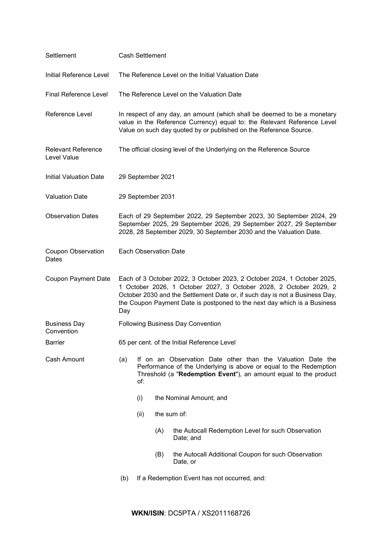| Settlement                               | <b>Cash Settlement</b>                                                                                                                                                                                                                                                                                         |      |                              |                                                                                                                                                                                                                          |
|------------------------------------------|----------------------------------------------------------------------------------------------------------------------------------------------------------------------------------------------------------------------------------------------------------------------------------------------------------------|------|------------------------------|--------------------------------------------------------------------------------------------------------------------------------------------------------------------------------------------------------------------------|
| Initial Reference Level                  | The Reference Level on the Initial Valuation Date                                                                                                                                                                                                                                                              |      |                              |                                                                                                                                                                                                                          |
| <b>Final Reference Level</b>             |                                                                                                                                                                                                                                                                                                                |      |                              | The Reference Level on the Valuation Date                                                                                                                                                                                |
| Reference Level                          |                                                                                                                                                                                                                                                                                                                |      |                              | In respect of any day, an amount (which shall be deemed to be a monetary<br>value in the Reference Currency) equal to: the Relevant Reference Level<br>Value on such day quoted by or published on the Reference Source. |
| <b>Relevant Reference</b><br>Level Value |                                                                                                                                                                                                                                                                                                                |      |                              | The official closing level of the Underlying on the Reference Source                                                                                                                                                     |
| <b>Initial Valuation Date</b>            |                                                                                                                                                                                                                                                                                                                |      | 29 September 2021            |                                                                                                                                                                                                                          |
| <b>Valuation Date</b>                    |                                                                                                                                                                                                                                                                                                                |      | 29 September 2031            |                                                                                                                                                                                                                          |
| <b>Observation Dates</b>                 |                                                                                                                                                                                                                                                                                                                |      |                              | Each of 29 September 2022, 29 September 2023, 30 September 2024, 29<br>September 2025, 29 September 2026, 29 September 2027, 29 September<br>2028, 28 September 2029, 30 September 2030 and the Valuation Date.          |
| <b>Coupon Observation</b><br>Dates       |                                                                                                                                                                                                                                                                                                                |      | <b>Each Observation Date</b> |                                                                                                                                                                                                                          |
| <b>Coupon Payment Date</b>               | Each of 3 October 2022, 3 October 2023, 2 October 2024, 1 October 2025,<br>1 October 2026, 1 October 2027, 3 October 2028, 2 October 2029, 2<br>October 2030 and the Settlement Date or, if such day is not a Business Day,<br>the Coupon Payment Date is postponed to the next day which is a Business<br>Day |      |                              |                                                                                                                                                                                                                          |
| <b>Business Day</b><br>Convention        | <b>Following Business Day Convention</b>                                                                                                                                                                                                                                                                       |      |                              |                                                                                                                                                                                                                          |
| <b>Barrier</b>                           |                                                                                                                                                                                                                                                                                                                |      |                              | 65 per cent. of the Initial Reference Level                                                                                                                                                                              |
| Cash Amount                              | If on an Observation Date other than the Valuation Date the<br>(a)<br>Performance of the Underlying is above or equal to the Redemption<br>Threshold (a "Redemption Event"), an amount equal to the product<br>of:                                                                                             |      |                              |                                                                                                                                                                                                                          |
|                                          |                                                                                                                                                                                                                                                                                                                | (i)  |                              | the Nominal Amount; and                                                                                                                                                                                                  |
|                                          |                                                                                                                                                                                                                                                                                                                | (ii) | the sum of:                  |                                                                                                                                                                                                                          |
|                                          |                                                                                                                                                                                                                                                                                                                |      | (A)                          | the Autocall Redemption Level for such Observation<br>Date; and                                                                                                                                                          |
|                                          |                                                                                                                                                                                                                                                                                                                |      | (B)                          | the Autocall Additional Coupon for such Observation<br>Date, or                                                                                                                                                          |
|                                          | (b)                                                                                                                                                                                                                                                                                                            |      |                              | If a Redemption Event has not occurred, and:                                                                                                                                                                             |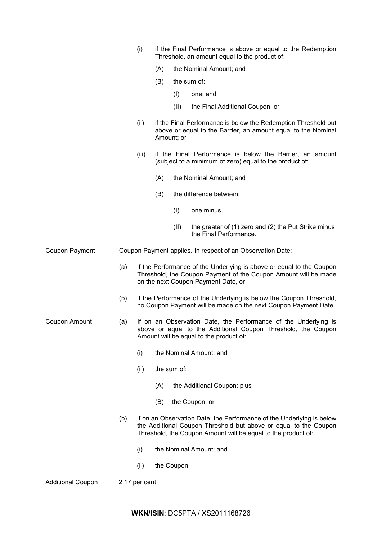|                          |     | (i)            | if the Final Performance is above or equal to the Redemption<br>Threshold, an amount equal to the product of: |             |                                                                                                                                                                                                            |
|--------------------------|-----|----------------|---------------------------------------------------------------------------------------------------------------|-------------|------------------------------------------------------------------------------------------------------------------------------------------------------------------------------------------------------------|
|                          |     |                | (A)<br>the Nominal Amount; and                                                                                |             |                                                                                                                                                                                                            |
|                          |     |                | (B)                                                                                                           |             | the sum of:                                                                                                                                                                                                |
|                          |     |                |                                                                                                               | (I)         | one; and                                                                                                                                                                                                   |
|                          |     |                |                                                                                                               | (II)        | the Final Additional Coupon; or                                                                                                                                                                            |
|                          |     | (ii)           |                                                                                                               | Amount; or  | if the Final Performance is below the Redemption Threshold but<br>above or equal to the Barrier, an amount equal to the Nominal                                                                            |
|                          |     | (iii)          |                                                                                                               |             | if the Final Performance is below the Barrier, an amount<br>(subject to a minimum of zero) equal to the product of:                                                                                        |
|                          |     |                | (A)                                                                                                           |             | the Nominal Amount; and                                                                                                                                                                                    |
|                          |     |                | (B)                                                                                                           |             | the difference between:                                                                                                                                                                                    |
|                          |     |                |                                                                                                               | (I)         | one minus,                                                                                                                                                                                                 |
|                          |     |                |                                                                                                               | (II)        | the greater of (1) zero and (2) the Put Strike minus<br>the Final Performance.                                                                                                                             |
| Coupon Payment           |     |                |                                                                                                               |             | Coupon Payment applies. In respect of an Observation Date:                                                                                                                                                 |
|                          | (a) |                |                                                                                                               |             | if the Performance of the Underlying is above or equal to the Coupon<br>Threshold, the Coupon Payment of the Coupon Amount will be made<br>on the next Coupon Payment Date, or                             |
|                          | (b) |                |                                                                                                               |             | if the Performance of the Underlying is below the Coupon Threshold,<br>no Coupon Payment will be made on the next Coupon Payment Date.                                                                     |
| Coupon Amount            | (a) |                |                                                                                                               |             | If on an Observation Date, the Performance of the Underlying is<br>above or equal to the Additional Coupon Threshold, the Coupon<br>Amount will be equal to the product of:                                |
|                          |     | (i)            |                                                                                                               |             | the Nominal Amount; and                                                                                                                                                                                    |
|                          |     | (ii)           |                                                                                                               | the sum of: |                                                                                                                                                                                                            |
|                          |     |                | (A)                                                                                                           |             | the Additional Coupon; plus                                                                                                                                                                                |
|                          |     |                | (B)                                                                                                           |             | the Coupon, or                                                                                                                                                                                             |
|                          | (b) |                |                                                                                                               |             | if on an Observation Date, the Performance of the Underlying is below<br>the Additional Coupon Threshold but above or equal to the Coupon<br>Threshold, the Coupon Amount will be equal to the product of: |
|                          |     | (i)            |                                                                                                               |             | the Nominal Amount; and                                                                                                                                                                                    |
|                          |     | (ii)           |                                                                                                               | the Coupon. |                                                                                                                                                                                                            |
| <b>Additional Coupon</b> |     | 2.17 per cent. |                                                                                                               |             |                                                                                                                                                                                                            |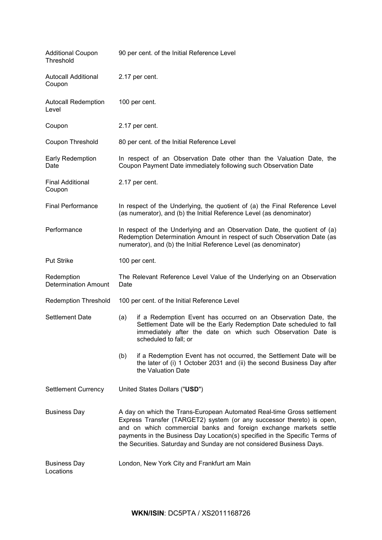| <b>Additional Coupon</b><br>Threshold     | 90 per cent. of the Initial Reference Level                                                                                                                                                                                                                                                                                                                                  |                                                                                                                                                                                                                                |  |  |
|-------------------------------------------|------------------------------------------------------------------------------------------------------------------------------------------------------------------------------------------------------------------------------------------------------------------------------------------------------------------------------------------------------------------------------|--------------------------------------------------------------------------------------------------------------------------------------------------------------------------------------------------------------------------------|--|--|
| <b>Autocall Additional</b><br>Coupon      | 2.17 per cent.                                                                                                                                                                                                                                                                                                                                                               |                                                                                                                                                                                                                                |  |  |
| <b>Autocall Redemption</b><br>Level       |                                                                                                                                                                                                                                                                                                                                                                              | 100 per cent.                                                                                                                                                                                                                  |  |  |
| Coupon                                    |                                                                                                                                                                                                                                                                                                                                                                              | 2.17 per cent.                                                                                                                                                                                                                 |  |  |
| Coupon Threshold                          |                                                                                                                                                                                                                                                                                                                                                                              | 80 per cent. of the Initial Reference Level                                                                                                                                                                                    |  |  |
| Early Redemption<br>Date                  |                                                                                                                                                                                                                                                                                                                                                                              | In respect of an Observation Date other than the Valuation Date, the<br>Coupon Payment Date immediately following such Observation Date                                                                                        |  |  |
| <b>Final Additional</b><br>Coupon         |                                                                                                                                                                                                                                                                                                                                                                              | 2.17 per cent.                                                                                                                                                                                                                 |  |  |
| <b>Final Performance</b>                  |                                                                                                                                                                                                                                                                                                                                                                              | In respect of the Underlying, the quotient of (a) the Final Reference Level<br>(as numerator), and (b) the Initial Reference Level (as denominator)                                                                            |  |  |
| Performance                               | In respect of the Underlying and an Observation Date, the quotient of (a)<br>Redemption Determination Amount in respect of such Observation Date (as<br>numerator), and (b) the Initial Reference Level (as denominator)                                                                                                                                                     |                                                                                                                                                                                                                                |  |  |
| <b>Put Strike</b>                         |                                                                                                                                                                                                                                                                                                                                                                              | 100 per cent.                                                                                                                                                                                                                  |  |  |
| Redemption<br><b>Determination Amount</b> | The Relevant Reference Level Value of the Underlying on an Observation<br>Date                                                                                                                                                                                                                                                                                               |                                                                                                                                                                                                                                |  |  |
| <b>Redemption Threshold</b>               |                                                                                                                                                                                                                                                                                                                                                                              | 100 per cent. of the Initial Reference Level                                                                                                                                                                                   |  |  |
| <b>Settlement Date</b>                    | (a)                                                                                                                                                                                                                                                                                                                                                                          | if a Redemption Event has occurred on an Observation Date, the<br>Settlement Date will be the Early Redemption Date scheduled to fall<br>immediately after the date on which such Observation Date is<br>scheduled to fall; or |  |  |
|                                           | (b)                                                                                                                                                                                                                                                                                                                                                                          | if a Redemption Event has not occurred, the Settlement Date will be<br>the later of (i) 1 October 2031 and (ii) the second Business Day after<br>the Valuation Date                                                            |  |  |
| <b>Settlement Currency</b>                | United States Dollars ("USD")                                                                                                                                                                                                                                                                                                                                                |                                                                                                                                                                                                                                |  |  |
| <b>Business Day</b>                       | A day on which the Trans-European Automated Real-time Gross settlement<br>Express Transfer (TARGET2) system (or any successor thereto) is open,<br>and on which commercial banks and foreign exchange markets settle<br>payments in the Business Day Location(s) specified in the Specific Terms of<br>the Securities. Saturday and Sunday are not considered Business Days. |                                                                                                                                                                                                                                |  |  |
| <b>Business Day</b><br>Locations          | London, New York City and Frankfurt am Main                                                                                                                                                                                                                                                                                                                                  |                                                                                                                                                                                                                                |  |  |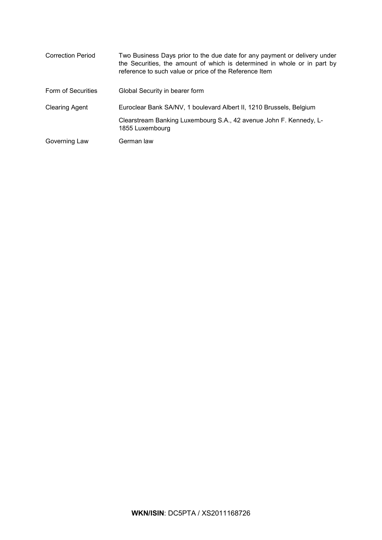| <b>Correction Period</b> | Two Business Days prior to the due date for any payment or delivery under<br>the Securities, the amount of which is determined in whole or in part by<br>reference to such value or price of the Reference Item |
|--------------------------|-----------------------------------------------------------------------------------------------------------------------------------------------------------------------------------------------------------------|
| Form of Securities       | Global Security in bearer form                                                                                                                                                                                  |
| <b>Clearing Agent</b>    | Euroclear Bank SA/NV, 1 boulevard Albert II, 1210 Brussels, Belgium                                                                                                                                             |
|                          | Clearstream Banking Luxembourg S.A., 42 avenue John F. Kennedy, L-<br>1855 Luxembourg                                                                                                                           |
| Governing Law            | German law                                                                                                                                                                                                      |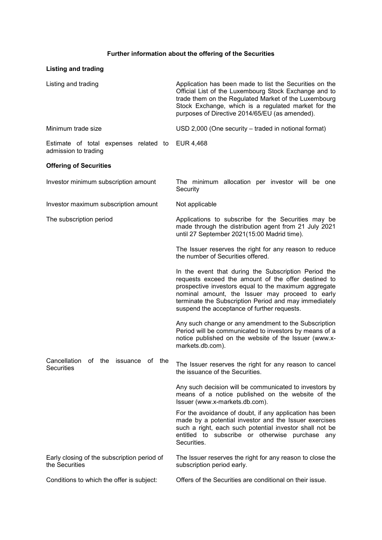# **Further information about the offering of the Securities**

| <b>Listing and trading</b>                                           |                                                                                                                                                                                                                                                                                                                                |
|----------------------------------------------------------------------|--------------------------------------------------------------------------------------------------------------------------------------------------------------------------------------------------------------------------------------------------------------------------------------------------------------------------------|
| Listing and trading                                                  | Application has been made to list the Securities on the<br>Official List of the Luxembourg Stock Exchange and to<br>trade them on the Regulated Market of the Luxembourg<br>Stock Exchange, which is a regulated market for the<br>purposes of Directive 2014/65/EU (as amended).                                              |
| Minimum trade size                                                   | USD 2,000 (One security – traded in notional format)                                                                                                                                                                                                                                                                           |
| Estimate of total expenses related to<br>admission to trading        | EUR 4,468                                                                                                                                                                                                                                                                                                                      |
| <b>Offering of Securities</b>                                        |                                                                                                                                                                                                                                                                                                                                |
| Investor minimum subscription amount                                 | The minimum allocation per investor will be one<br>Security                                                                                                                                                                                                                                                                    |
| Investor maximum subscription amount                                 | Not applicable                                                                                                                                                                                                                                                                                                                 |
| The subscription period                                              | Applications to subscribe for the Securities may be<br>made through the distribution agent from 21 July 2021<br>until 27 September 2021(15:00 Madrid time).                                                                                                                                                                    |
|                                                                      | The Issuer reserves the right for any reason to reduce<br>the number of Securities offered.                                                                                                                                                                                                                                    |
|                                                                      | In the event that during the Subscription Period the<br>requests exceed the amount of the offer destined to<br>prospective investors equal to the maximum aggregate<br>nominal amount, the Issuer may proceed to early<br>terminate the Subscription Period and may immediately<br>suspend the acceptance of further requests. |
|                                                                      | Any such change or any amendment to the Subscription<br>Period will be communicated to investors by means of a<br>notice published on the website of the Issuer (www.x-<br>markets.db.com).                                                                                                                                    |
| Cancellation<br>οf<br>the<br>issuance<br>of the<br><b>Securities</b> | The Issuer reserves the right for any reason to cancel<br>the issuance of the Securities.                                                                                                                                                                                                                                      |
|                                                                      | Any such decision will be communicated to investors by<br>means of a notice published on the website of the<br>Issuer (www.x-markets.db.com).                                                                                                                                                                                  |
|                                                                      | For the avoidance of doubt, if any application has been<br>made by a potential investor and the Issuer exercises<br>such a right, each such potential investor shall not be<br>entitled to subscribe or otherwise purchase any<br>Securities.                                                                                  |
| Early closing of the subscription period of<br>the Securities        | The Issuer reserves the right for any reason to close the<br>subscription period early.                                                                                                                                                                                                                                        |
| Conditions to which the offer is subject:                            | Offers of the Securities are conditional on their issue.                                                                                                                                                                                                                                                                       |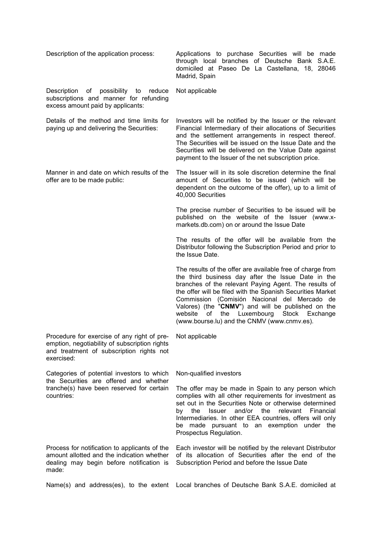| Description of the application process:                                                                                                                | Applications to purchase Securities will be made<br>through local branches of Deutsche Bank S.A.E.                                                                                                                                                                                                                                                                                                                                                      |
|--------------------------------------------------------------------------------------------------------------------------------------------------------|---------------------------------------------------------------------------------------------------------------------------------------------------------------------------------------------------------------------------------------------------------------------------------------------------------------------------------------------------------------------------------------------------------------------------------------------------------|
|                                                                                                                                                        | domiciled at Paseo De La Castellana, 18, 28046<br>Madrid, Spain                                                                                                                                                                                                                                                                                                                                                                                         |
| Description<br>of possibility to reduce<br>subscriptions and manner for refunding<br>excess amount paid by applicants:                                 | Not applicable                                                                                                                                                                                                                                                                                                                                                                                                                                          |
| Details of the method and time limits for<br>paying up and delivering the Securities:                                                                  | Investors will be notified by the Issuer or the relevant<br>Financial Intermediary of their allocations of Securities<br>and the settlement arrangements in respect thereof.<br>The Securities will be issued on the Issue Date and the<br>Securities will be delivered on the Value Date against<br>payment to the Issuer of the net subscription price.                                                                                               |
| Manner in and date on which results of the<br>offer are to be made public:                                                                             | The Issuer will in its sole discretion determine the final<br>amount of Securities to be issued (which will be<br>dependent on the outcome of the offer), up to a limit of<br>40,000 Securities                                                                                                                                                                                                                                                         |
|                                                                                                                                                        | The precise number of Securities to be issued will be<br>published on the website of the Issuer (www.x-<br>markets.db.com) on or around the Issue Date                                                                                                                                                                                                                                                                                                  |
|                                                                                                                                                        | The results of the offer will be available from the<br>Distributor following the Subscription Period and prior to<br>the Issue Date.                                                                                                                                                                                                                                                                                                                    |
|                                                                                                                                                        | The results of the offer are available free of charge from<br>the third business day after the Issue Date in the<br>branches of the relevant Paying Agent. The results of<br>the offer will be filed with the Spanish Securities Market<br>Commission (Comisión Nacional del Mercado de<br>Valores) (the "CNMV") and will be published on the<br>of<br>the<br>Luxembourg<br>Stock<br>website<br>Exchange<br>(www.bourse.lu) and the CNMV (www.cnmv.es). |
| Procedure for exercise of any right of pre-<br>emption, negotiability of subscription rights<br>and treatment of subscription rights not<br>exercised: | Not applicable                                                                                                                                                                                                                                                                                                                                                                                                                                          |
| Categories of potential investors to which                                                                                                             | Non-qualified investors                                                                                                                                                                                                                                                                                                                                                                                                                                 |
| the Securities are offered and whether<br>tranche(s) have been reserved for certain<br>countries:                                                      | The offer may be made in Spain to any person which<br>complies with all other requirements for investment as<br>set out in the Securities Note or otherwise determined<br>and/or the<br>the<br>Issuer<br>relevant<br>Financial<br>by<br>Intermediaries. In other EEA countries, offers will only<br>be made pursuant to an exemption under the<br>Prospectus Regulation.                                                                                |
| Process for notification to applicants of the<br>amount allotted and the indication whether<br>dealing may begin before notification is<br>made:       | Each investor will be notified by the relevant Distributor<br>of its allocation of Securities after the end of the<br>Subscription Period and before the Issue Date                                                                                                                                                                                                                                                                                     |
| Name(s) and address(es), to the extent                                                                                                                 | Local branches of Deutsche Bank S.A.E. domiciled at                                                                                                                                                                                                                                                                                                                                                                                                     |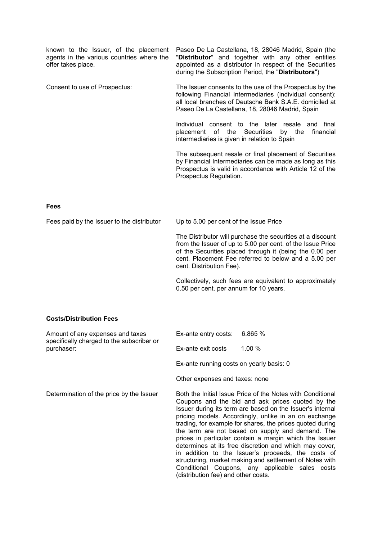| known to the Issuer, of the placement<br>agents in the various countries where the<br>offer takes place. | Paseo De La Castellana, 18, 28046 Madrid, Spain (the<br>"Distributor" and together with any other entities<br>appointed as a distributor in respect of the Securities<br>during the Subscription Period, the "Distributors")                                            |
|----------------------------------------------------------------------------------------------------------|-------------------------------------------------------------------------------------------------------------------------------------------------------------------------------------------------------------------------------------------------------------------------|
| Consent to use of Prospectus:                                                                            | The Issuer consents to the use of the Prospectus by the<br>following Financial Intermediaries (individual consent):<br>all local branches of Deutsche Bank S.A.E. domiciled at<br>Paseo De La Castellana, 18, 28046 Madrid, Spain                                       |
|                                                                                                          | Individual consent to the later resale and<br>final<br>of<br><b>Securities</b><br>the<br>by the<br>financial<br>placement<br>intermediaries is given in relation to Spain                                                                                               |
|                                                                                                          | The subsequent resale or final placement of Securities<br>by Financial Intermediaries can be made as long as this<br>Prospectus is valid in accordance with Article 12 of the<br>Prospectus Regulation.                                                                 |
| <b>Fees</b>                                                                                              |                                                                                                                                                                                                                                                                         |
| Fees paid by the Issuer to the distributor                                                               | Up to 5.00 per cent of the Issue Price                                                                                                                                                                                                                                  |
|                                                                                                          | The Distributor will purchase the securities at a discount<br>from the Issuer of up to 5.00 per cent. of the Issue Price<br>of the Securities placed through it (being the 0.00 per<br>cent. Placement Fee referred to below and a 5.00 per<br>cent. Distribution Fee). |
|                                                                                                          | Collectively, such fees are equivalent to approximately<br>0.50 per cent. per annum for 10 years.                                                                                                                                                                       |
| <b>Costs/Distribution Fees</b>                                                                           |                                                                                                                                                                                                                                                                         |
| Amount of any expenses and taxes                                                                         | Ex-ante entry costs:<br>6.865 %                                                                                                                                                                                                                                         |
| specifically charged to the subscriber or<br>purchaser:                                                  | 1.00 %<br>Ex-ante exit costs                                                                                                                                                                                                                                            |
|                                                                                                          | Ex-ante running costs on yearly basis: 0                                                                                                                                                                                                                                |
|                                                                                                          | Other expenses and taxes: none                                                                                                                                                                                                                                          |

Determination of the price by the Issuer Both the Initial Issue Price of the Notes with Conditional Coupons and the bid and ask prices quoted by the Issuer during its term are based on the Issuer's internal pricing models. Accordingly, unlike in an on exchange trading, for example for shares, the prices quoted during the term are not based on supply and demand. The prices in particular contain a margin which the Issuer determines at its free discretion and which may cover, in addition to the Issuer's proceeds, the costs of structuring, market making and settlement of Notes with Conditional Coupons, any applicable sales costs (distribution fee) and other costs.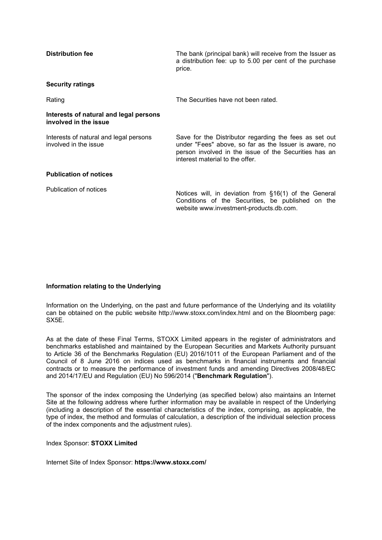| <b>Distribution fee</b>                                         | The bank (principal bank) will receive from the Issuer as<br>a distribution fee: up to 5.00 per cent of the purchase<br>price.                                                                              |
|-----------------------------------------------------------------|-------------------------------------------------------------------------------------------------------------------------------------------------------------------------------------------------------------|
| <b>Security ratings</b>                                         |                                                                                                                                                                                                             |
| Rating                                                          | The Securities have not been rated.                                                                                                                                                                         |
| Interests of natural and legal persons<br>involved in the issue |                                                                                                                                                                                                             |
| Interests of natural and legal persons<br>involved in the issue | Save for the Distributor regarding the fees as set out<br>under "Fees" above, so far as the Issuer is aware, no<br>person involved in the issue of the Securities has an<br>interest material to the offer. |
| <b>Publication of notices</b>                                   |                                                                                                                                                                                                             |
| Publication of notices                                          | Notices will, in deviation from §16(1) of the General<br>Conditions of the Securities, be published on the<br>website www.investment-products.db.com.                                                       |

## **Information relating to the Underlying**

Information on the Underlying, on the past and future performance of the Underlying and its volatility can be obtained on the public website http://www.stoxx.com/index.html and on the Bloomberg page: SX5E.

As at the date of these Final Terms, STOXX Limited appears in the register of administrators and benchmarks established and maintained by the European Securities and Markets Authority pursuant to Article 36 of the Benchmarks Regulation (EU) 2016/1011 of the European Parliament and of the Council of 8 June 2016 on indices used as benchmarks in financial instruments and financial contracts or to measure the performance of investment funds and amending Directives 2008/48/EC and 2014/17/EU and Regulation (EU) No 596/2014 ("**Benchmark Regulation**").

The sponsor of the index composing the Underlying (as specified below) also maintains an Internet Site at the following address where further information may be available in respect of the Underlying (including a description of the essential characteristics of the index, comprising, as applicable, the type of index, the method and formulas of calculation, a description of the individual selection process of the index components and the adjustment rules).

## Index Sponsor: **STOXX Limited**

Internet Site of Index Sponsor: **https://www.stoxx.com/**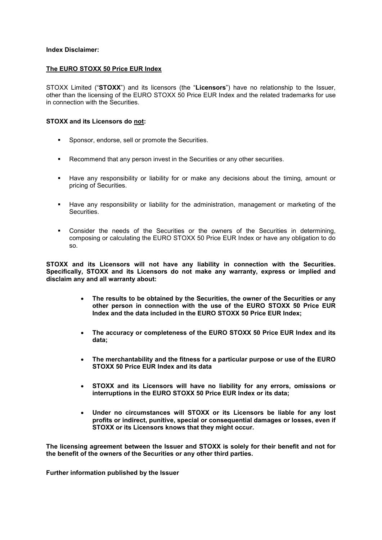## **Index Disclaimer:**

## **The EURO STOXX 50 Price EUR Index**

STOXX Limited ("**STOXX**") and its licensors (the "**Licensors**") have no relationship to the Issuer, other than the licensing of the EURO STOXX 50 Price EUR Index and the related trademarks for use in connection with the Securities.

## **STOXX and its Licensors do not:**

- **Sponsor, endorse, sell or promote the Securities.**
- Recommend that any person invest in the Securities or any other securities.
- Have any responsibility or liability for or make any decisions about the timing, amount or pricing of Securities.
- Have any responsibility or liability for the administration, management or marketing of the Securities.
- Consider the needs of the Securities or the owners of the Securities in determining, composing or calculating the EURO STOXX 50 Price EUR Index or have any obligation to do so.

**STOXX and its Licensors will not have any liability in connection with the Securities. Specifically, STOXX and its Licensors do not make any warranty, express or implied and disclaim any and all warranty about:**

- **The results to be obtained by the Securities, the owner of the Securities or any other person in connection with the use of the EURO STOXX 50 Price EUR Index and the data included in the EURO STOXX 50 Price EUR Index;**
- **The accuracy or completeness of the EURO STOXX 50 Price EUR Index and its data;**
- **The merchantability and the fitness for a particular purpose or use of the EURO STOXX 50 Price EUR Index and its data**
- **STOXX and its Licensors will have no liability for any errors, omissions or interruptions in the EURO STOXX 50 Price EUR Index or its data;**
- **Under no circumstances will STOXX or its Licensors be liable for any lost profits or indirect, punitive, special or consequential damages or losses, even if STOXX or its Licensors knows that they might occur.**

**The licensing agreement between the Issuer and STOXX is solely for their benefit and not for the benefit of the owners of the Securities or any other third parties.**

**Further information published by the Issuer**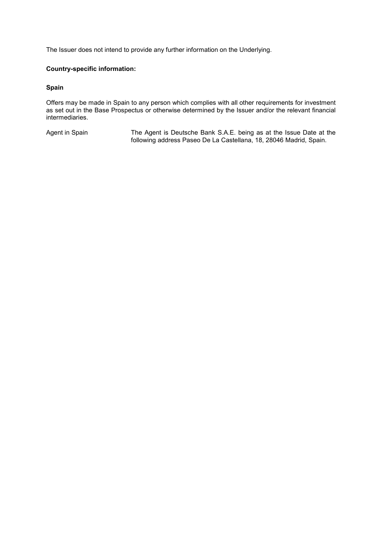The Issuer does not intend to provide any further information on the Underlying.

## **Country-specific information:**

## **Spain**

Offers may be made in Spain to any person which complies with all other requirements for investment as set out in the Base Prospectus or otherwise determined by the Issuer and/or the relevant financial intermediaries.

Agent in Spain The Agent is Deutsche Bank S.A.E. being as at the Issue Date at the following address Paseo De La Castellana, 18, 28046 Madrid, Spain.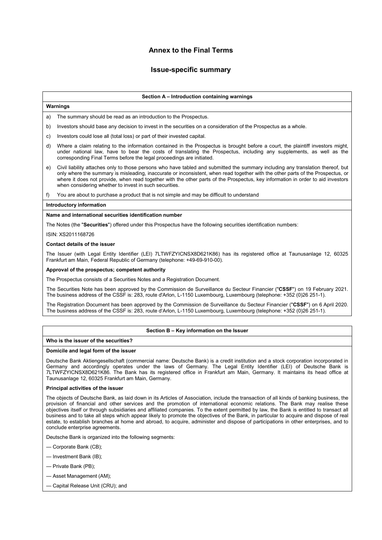# **Annex to the Final Terms**

## **Issue-specific summary**

## **Section A – Introduction containing warnings**

## **Warnings**

a) The summary should be read as an introduction to the Prospectus.

- b) Investors should base any decision to invest in the securities on a consideration of the Prospectus as a whole.
- c) Investors could lose all (total loss) or part of their invested capital.
- d) Where a claim relating to the information contained in the Prospectus is brought before a court, the plaintiff investors might, under national law, have to bear the costs of translating the Prospectus, including any supplements, as well as the corresponding Final Terms before the legal proceedings are initiated.
- e) Civil liability attaches only to those persons who have tabled and submitted the summary including any translation thereof, but only where the summary is misleading, inaccurate or inconsistent, when read together with the other parts of the Prospectus, or where it does not provide, when read together with the other parts of the Prospectus, key information in order to aid investors when considering whether to invest in such securities.
- f) You are about to purchase a product that is not simple and may be difficult to understand

## **Introductory information**

## **Name and international securities identification number**

The Notes (the "**Securities**") offered under this Prospectus have the following securities identification numbers:

ISIN: XS2011168726

## **Contact details of the issuer**

The Issuer (with Legal Entity Identifier (LEI) 7LTWFZYICNSX8D621K86) has its registered office at Taunusanlage 12, 60325 Frankfurt am Main, Federal Republic of Germany (telephone: +49-69-910-00).

## **Approval of the prospectus; competent authority**

The Prospectus consists of a Securities Notes and a Registration Document.

The Securities Note has been approved by the Commission de Surveillance du Secteur Financier ("**CSSF**") on 19 February 2021. The business address of the CSSF is: 283, route d'Arlon, L-1150 Luxembourg, Luxembourg (telephone: +352 (0)26 251-1).

The Registration Document has been approved by the Commission de Surveillance du Secteur Financier ("**CSSF**") on 6 April 2020. The business address of the CSSF is: 283, route d'Arlon, L-1150 Luxembourg, Luxembourg (telephone: +352 (0)26 251-1).

## **Section B – Key information on the Issuer**

## **Who is the issuer of the securities?**

## **Domicile and legal form of the issuer**

Deutsche Bank Aktiengesellschaft (commercial name: Deutsche Bank) is a credit institution and a stock corporation incorporated in Germany and accordingly operates under the laws of Germany. The Legal Entity Identifier (LEI) of Deutsche Bank is 7LTWFZYICNSX8D621K86. The Bank has its registered office in Frankfurt am Main, Germany. It maintains its head office at Taunusanlage 12, 60325 Frankfurt am Main, Germany.

## **Principal activities of the issuer**

The objects of Deutsche Bank, as laid down in its Articles of Association, include the transaction of all kinds of banking business, the provision of financial and other services and the promotion of international economic relations. The Bank may realise these objectives itself or through subsidiaries and affiliated companies. To the extent permitted by law, the Bank is entitled to transact all business and to take all steps which appear likely to promote the objectives of the Bank, in particular to acquire and dispose of real estate, to establish branches at home and abroad, to acquire, administer and dispose of participations in other enterprises, and to conclude enterprise agreements.

Deutsche Bank is organized into the following segments:

— Corporate Bank (CB);

- Investment Bank (IB);
- Private Bank (PB);
- Asset Management (AM);
- Capital Release Unit (CRU); and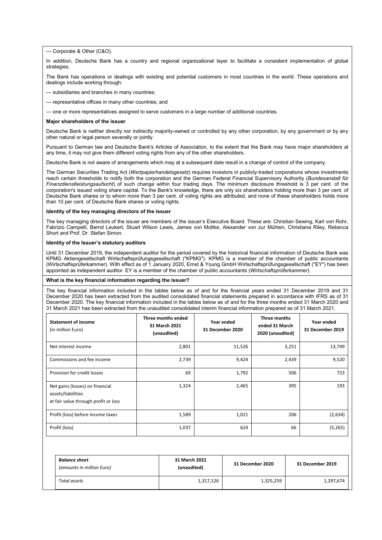— Corporate & Other (C&O).

In addition, Deutsche Bank has a country and regional organizational layer to facilitate a consistent implementation of global strategies.

The Bank has operations or dealings with existing and potential customers in most countries in the world. These operations and dealings include working through:

- subsidiaries and branches in many countries;
- representative offices in many other countries; and
- one or more representatives assigned to serve customers in a large number of additional countries.

#### **Major shareholders of the issuer**

Deutsche Bank is neither directly nor indirectly majority-owned or controlled by any other corporation, by any government or by any other natural or legal person severally or jointly.

Pursuant to German law and Deutsche Bank's Articles of Association, to the extent that the Bank may have major shareholders at any time, it may not give them different voting rights from any of the other shareholders.

Deutsche Bank is not aware of arrangements which may at a subsequent date result in a change of control of the company.

The German Securities Trading Act (*Wertpapierhandelsgesetz*) requires investors in publicly-traded corporations whose investments reach certain thresholds to notify both the corporation and the German Federal Financial Supervisory Authority (*Bundesanstalt für Finanzdienstleistungsaufsicht*) of such change within four trading days. The minimum disclosure threshold is 3 per cent. of the corporation's issued voting share capital. To the Bank's knowledge, there are only six shareholders holding more than 3 per cent. of Deutsche Bank shares or to whom more than 3 per cent. of voting rights are attributed, and none of these shareholders holds more than 10 per cent. of Deutsche Bank shares or voting rights.

#### **Identity of the key managing directors of the issuer**

The key managing directors of the issuer are members of the issuer's Executive Board. These are: Christian Sewing, Karl von Rohr, Fabrizio Campelli, Bernd Leukert, Stuart Wilson Lewis, James von Moltke, Alexander von zur Mühlen, Christiana Riley, Rebecca Short and Prof. Dr. Stefan Simon.

### **Identity of the Issuer's statutory auditors**

Until 31 December 2019, the independent auditor for the period covered by the historical financial information of Deutsche Bank was KPMG Aktiengesellschaft Wirtschaftsprüfungsgesellschaft ("KPMG"). KPMG is a member of the chamber of public accountants (Wirtschaftsprüferkammer). With effect as of 1 January 2020, Ernst & Young GmbH Wirtschaftsprüfungsgesellschaft ("EY") has been appointed as independent auditor. EY is a member of the chamber of public accountants (*Wirtschaftsprüferkammer*).

#### **What is the key financial information regarding the issuer?**

The key financial information included in the tables below as of and for the financial years ended 31 December 2019 and 31 December 2020 has been extracted from the audited consolidated financial statements prepared in accordance with IFRS as of 31 December 2020. The key financial information included in the tables below as of and for the three months ended 31 March 2020 and 31 March 2021 has been extracted from the unaudited consolidated interim financial information prepared as of 31 March 2021.

| <b>Statement of income</b><br>(in million Euro)                                               | Three months ended<br>31 March 2021<br>(unaudited) | Year ended<br>31 December 2020 | Three months<br>ended 31 March<br>2020 (unaudited) | Year ended<br>31 December 2019 |
|-----------------------------------------------------------------------------------------------|----------------------------------------------------|--------------------------------|----------------------------------------------------|--------------------------------|
| Net interest income                                                                           | 2,801                                              | 11,526                         | 3,251                                              | 13,749                         |
| Commissions and fee income                                                                    | 2,739                                              | 9,424                          | 2,439                                              | 9,520                          |
| Provision for credit losses                                                                   | 69                                                 | 1,792                          | 506                                                | 723                            |
| Net gains (losses) on financial<br>assets/liabilities<br>at fair value through profit or loss | 1,324                                              | 2,465                          | 395                                                | 193                            |
| Profit (loss) before income taxes                                                             | 1,589                                              | 1,021                          | 206                                                | (2,634)                        |
| Profit (loss)                                                                                 | 1,037                                              | 624                            | 66                                                 | (5,265)                        |

| <b>Balance sheet</b><br>(amounts in million Euro) | 31 March 2021<br>(unaudited) | 31 December 2020 | 31 December 2019 |
|---------------------------------------------------|------------------------------|------------------|------------------|
| Total assets                                      | 1,317,126                    | 1,325,259        | 1,297,674        |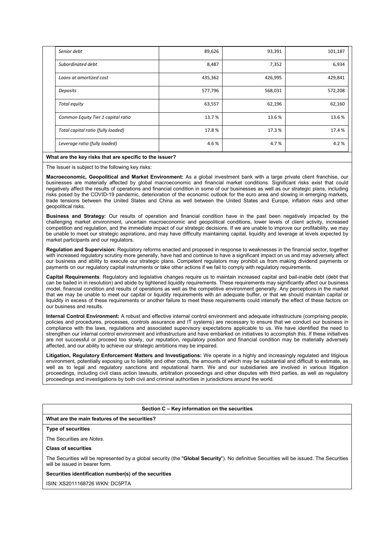| Senior debt                        | 89,626  | 93,391  | 101,187 |
|------------------------------------|---------|---------|---------|
| Subordinated debt                  | 8,487   | 7,352   | 6,934   |
| Loans at amortized cost            | 435,362 | 426,995 | 429,841 |
| Deposits                           | 577,796 | 568,031 | 572,208 |
| Total equity                       | 63,557  | 62,196  | 62,160  |
| Common Equity Tier 1 capital ratio | 13.7 %  | 13.6%   | 13.6%   |
| Total capital ratio (fully loaded) | 17.8%   | 17.3 %  | 17.4 %  |
| Leverage ratio (fully loaded)      | 4.6%    | 4.7%    | 4.2%    |

## **What are the key risks that are specific to the issuer?**

The Issuer is subject to the following key risks:

**Macroeconomic, Geopolitical and Market Environment:** As a global investment bank with a large private client franchise, our businesses are materially affected by global macroeconomic and financial market conditions. Significant risks exist that could negatively affect the results of operations and financial condition in some of our businesses as well as our strategic plans, including risks posed by the COVID-19 pandemic, deterioration of the economic outlook for the euro area and slowing in emerging markets, trade tensions between the United States and China as well between the United States and Europe, inflation risks and other geopolitical risks.

**Business and Strategy:** Our results of operation and financial condition have in the past been negatively impacted by the challenging market environment, uncertain macroeconomic and geopolitical conditions, lower levels of client activity, increased competition and regulation, and the immediate impact of our strategic decisions. If we are unable to improve our profitability, we may be unable to meet our strategic aspirations, and may have difficulty maintaining capital, liquidity and leverage at levels expected by market participants and our regulators.

**Regulation and Supervision:** Regulatory reforms enacted and proposed in response to weaknesses in the financial sector, together with increased regulatory scrutiny more generally, have had and continue to have a significant impact on us and may adversely affect our business and ability to execute our strategic plans. Competent regulators may prohibit us from making dividend payments or payments on our regulatory capital instruments or take other actions if we fail to comply with regulatory requirements.

**Capital Requirements**: Regulatory and legislative changes require us to maintain increased capital and bail-inable debt (debt that can be bailed in in resolution) and abide by tightened liquidity requirements. These requirements may significantly affect our business model, financial condition and results of operations as well as the competitive environment generally. Any perceptions in the market that we may be unable to meet our capital or liquidity requirements with an adequate buffer, or that we should maintain capital or liquidity in excess of these requirements or another failure to meet these requirements could intensify the effect of these factors on our business and results.

**Internal Control Environment:** A robust and effective internal control environment and adequate infrastructure (comprising people, policies and procedures, processes, controls assurance and IT systems) are necessary to ensure that we conduct our business in compliance with the laws, regulations and associated supervisory expectations applicable to us. We have identified the need to strengthen our internal control environment and infrastructure and have embarked on initiatives to accomplish this. If these initiatives are not successful or proceed too slowly, our reputation, regulatory position and financial condition may be materially adversely affected, and our ability to achieve our strategic ambitions may be impaired.

**Litigation, Regulatory Enforcement Matters and Investigations:** We operate in a highly and increasingly regulated and litigious environment, potentially exposing us to liability and other costs, the amounts of which may be substantial and difficult to estimate, as well as to legal and regulatory sanctions and reputational harm. We and our subsidiaries are involved in various litigation proceedings, including civil class action lawsuits, arbitration proceedings and other disputes with third parties, as well as regulatory proceedings and investigations by both civil and criminal authorities in jurisdictions around the world.

| Section C – Key information on the securities                                                                                                                              |
|----------------------------------------------------------------------------------------------------------------------------------------------------------------------------|
| What are the main features of the securities?                                                                                                                              |
| <b>Type of securities</b>                                                                                                                                                  |
| The Securities are Notes.                                                                                                                                                  |
| <b>Class of securities</b>                                                                                                                                                 |
| The Securities will be represented by a global security (the "Global Security"). No definitive Securities will be issued. The Securities<br>will be issued in bearer form. |
| Securities identification number(s) of the securities                                                                                                                      |
| ISIN: XS2011168726 WKN: DC5PTA                                                                                                                                             |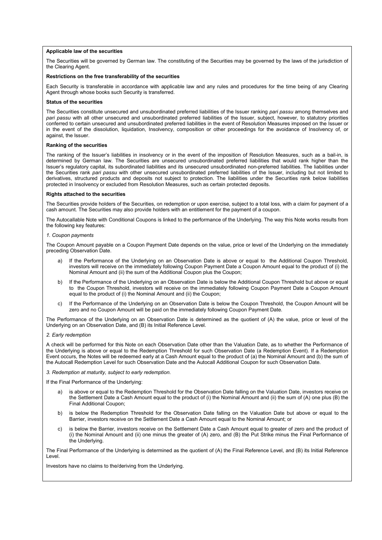### **Applicable law of the securities**

The Securities will be governed by German law. The constituting of the Securities may be governed by the laws of the jurisdiction of the Clearing Agent.

### **Restrictions on the free transferability of the securities**

Each Security is transferable in accordance with applicable law and any rules and procedures for the time being of any Clearing Agent through whose books such Security is transferred.

#### **Status of the securities**

The Securities constitute unsecured and unsubordinated preferred liabilities of the Issuer ranking *pari passu* among themselves and *pari passu* with all other unsecured and unsubordinated preferred liabilities of the Issuer, subject, however, to statutory priorities conferred to certain unsecured and unsubordinated preferred liabilities in the event of Resolution Measures imposed on the Issuer or in the event of the dissolution, liquidation, Insolvency, composition or other proceedings for the avoidance of Insolvency of, or against, the Issuer.

#### **Ranking of the securities**

The ranking of the Issuer's liabilities in insolvency or in the event of the imposition of Resolution Measures, such as a bail-in, is determined by German law. The Securities are unsecured unsubordinated preferred liabilities that would rank higher than the Issuer's regulatory capital, its subordinated liabilities and its unsecured unsubordinated non-preferred liabilities. The liabilities under the Securities rank *pari passu* with other unsecured unsubordinated preferred liabilities of the Issuer, including but not limited to derivatives, structured products and deposits not subject to protection. The liabilities under the Securities rank below liabilities protected in Insolvency or excluded from Resolution Measures, such as certain protected deposits.

#### **Rights attached to the securities**

The Securities provide holders of the Securities, on redemption or upon exercise, subject to a total loss, with a claim for payment of a cash amount. The Securities may also provide holders with an entitlement for the payment of a coupon.

The Autocallable Note with Conditional Coupons is linked to the performance of the Underlying. The way this Note works results from the following key features:

### *1. Coupon payments*

The Coupon Amount payable on a Coupon Payment Date depends on the value, price or level of the Underlying on the immediately preceding Observation Date.

- If the Performance of the Underlying on an Observation Date is above or equal to the Additional Coupon Threshold, investors will receive on the immediately following Coupon Payment Date a Coupon Amount equal to the product of (i) the Nominal Amount and (ii) the sum of the Additional Coupon plus the Coupon:
- b) If the Performance of the Underlying on an Observation Date is below the Additional Coupon Threshold but above or equal to the Coupon Threshold, investors will receive on the immediately following Coupon Payment Date a Coupon Amount equal to the product of (i) the Nominal Amount and (ii) the Coupon;
- c) If the Performance of the Underlying on an Observation Date is below the Coupon Threshold, the Coupon Amount will be zero and no Coupon Amount will be paid on the immediately following Coupon Payment Date.

The Performance of the Underlying on an Observation Date is determined as the quotient of (A) the value, price or level of the Underlying on an Observation Date, and (B) its Initial Reference Level.

### *2. Early redemption*

A check will be performed for this Note on each Observation Date other than the Valuation Date, as to whether the Performance of the Underlying is above or equal to the Redemption Threshold for such Observation Date (a Redemption Event). If a Redemption Event occurs, the Notes will be redeemed early at a Cash Amount equal to the product of (a) the Nominal Amount and (b) the sum of the Autocall Redemption Level for such Observation Date and the Autocall Additional Coupon for such Observation Date.

*3. Redemption at maturity, subject to early redemption.*

If the Final Performance of the Underlying:

- is above or equal to the Redemption Threshold for the Observation Date falling on the Valuation Date, investors receive on the Settlement Date a Cash Amount equal to the product of (i) the Nominal Amount and (ii) the sum of (A) one plus (B) the Final Additional Coupon;
- b) is below the Redemption Threshold for the Observation Date falling on the Valuation Date but above or equal to the Barrier, investors receive on the Settlement Date a Cash Amount equal to the Nominal Amount; or
- c) is below the Barrier, investors receive on the Settlement Date a Cash Amount equal to greater of zero and the product of (i) the Nominal Amount and (ii) one minus the greater of (A) zero, and (B) the Put Strike minus the Final Performance of the Underlying.

The Final Performance of the Underlying is determined as the quotient of (A) the Final Reference Level, and (B) its Initial Reference Level.

Investors have no claims to the/deriving from the Underlying.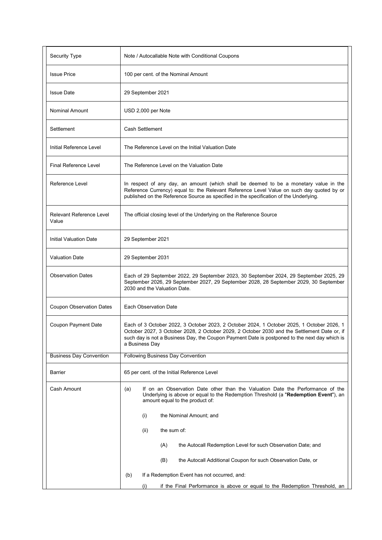| Security Type                     | Note / Autocallable Note with Conditional Coupons                                                                                                                                                                                                                                                           |
|-----------------------------------|-------------------------------------------------------------------------------------------------------------------------------------------------------------------------------------------------------------------------------------------------------------------------------------------------------------|
| <b>Issue Price</b>                | 100 per cent. of the Nominal Amount                                                                                                                                                                                                                                                                         |
| <b>Issue Date</b>                 | 29 September 2021                                                                                                                                                                                                                                                                                           |
| Nominal Amount                    | USD 2,000 per Note                                                                                                                                                                                                                                                                                          |
| Settlement                        | Cash Settlement                                                                                                                                                                                                                                                                                             |
| Initial Reference Level           | The Reference Level on the Initial Valuation Date                                                                                                                                                                                                                                                           |
| <b>Final Reference Level</b>      | The Reference Level on the Valuation Date                                                                                                                                                                                                                                                                   |
| Reference Level                   | In respect of any day, an amount (which shall be deemed to be a monetary value in the<br>Reference Currency) equal to: the Relevant Reference Level Value on such day quoted by or<br>published on the Reference Source as specified in the specification of the Underlying.                                |
| Relevant Reference Level<br>Value | The official closing level of the Underlying on the Reference Source                                                                                                                                                                                                                                        |
| Initial Valuation Date            | 29 September 2021                                                                                                                                                                                                                                                                                           |
| <b>Valuation Date</b>             | 29 September 2031                                                                                                                                                                                                                                                                                           |
| <b>Observation Dates</b>          | Each of 29 September 2022, 29 September 2023, 30 September 2024, 29 September 2025, 29<br>September 2026, 29 September 2027, 29 September 2028, 28 September 2029, 30 September<br>2030 and the Valuation Date.                                                                                             |
| <b>Coupon Observation Dates</b>   | Each Observation Date                                                                                                                                                                                                                                                                                       |
| Coupon Payment Date               | Each of 3 October 2022, 3 October 2023, 2 October 2024, 1 October 2025, 1 October 2026, 1<br>October 2027, 3 October 2028, 2 October 2029, 2 October 2030 and the Settlement Date or, if<br>such day is not a Business Day, the Coupon Payment Date is postponed to the next day which is<br>a Business Day |
| <b>Business Day Convention</b>    | Following Business Day Convention                                                                                                                                                                                                                                                                           |
| <b>Barrier</b>                    | 65 per cent. of the Initial Reference Level                                                                                                                                                                                                                                                                 |
| Cash Amount                       | (a)<br>If on an Observation Date other than the Valuation Date the Performance of the<br>Underlying is above or equal to the Redemption Threshold (a "Redemption Event"), an<br>amount equal to the product of:                                                                                             |
|                                   | (i)<br>the Nominal Amount; and                                                                                                                                                                                                                                                                              |
|                                   | the sum of:<br>(ii)                                                                                                                                                                                                                                                                                         |
|                                   | (A)<br>the Autocall Redemption Level for such Observation Date; and                                                                                                                                                                                                                                         |
|                                   | the Autocall Additional Coupon for such Observation Date, or<br>(B)                                                                                                                                                                                                                                         |
|                                   | If a Redemption Event has not occurred, and:<br>(b)                                                                                                                                                                                                                                                         |
|                                   | if the Final Performance is above or equal to the Redemption Threshold, an<br>(i)                                                                                                                                                                                                                           |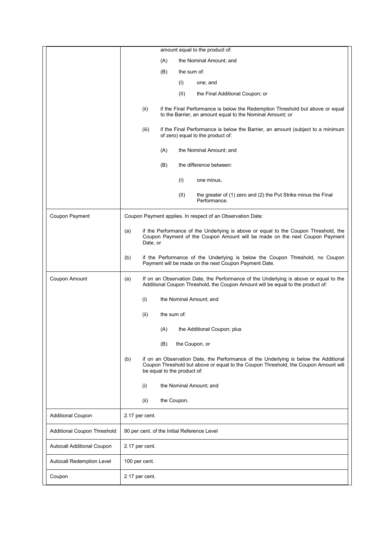|                                    | amount equal to the product of:                                                                                                                                                                                   |
|------------------------------------|-------------------------------------------------------------------------------------------------------------------------------------------------------------------------------------------------------------------|
|                                    | (A)<br>the Nominal Amount; and                                                                                                                                                                                    |
|                                    | (B)<br>the sum of:                                                                                                                                                                                                |
|                                    | (1)<br>one; and                                                                                                                                                                                                   |
|                                    | (II)<br>the Final Additional Coupon; or                                                                                                                                                                           |
|                                    | (ii)<br>if the Final Performance is below the Redemption Threshold but above or equal<br>to the Barrier, an amount equal to the Nominal Amount; or                                                                |
|                                    | (iii)<br>if the Final Performance is below the Barrier, an amount (subject to a minimum<br>of zero) equal to the product of:                                                                                      |
|                                    | (A)<br>the Nominal Amount; and                                                                                                                                                                                    |
|                                    | (B)<br>the difference between:                                                                                                                                                                                    |
|                                    | (1)<br>one minus,                                                                                                                                                                                                 |
|                                    | (II)<br>the greater of (1) zero and (2) the Put Strike minus the Final<br>Performance.                                                                                                                            |
| Coupon Payment                     | Coupon Payment applies. In respect of an Observation Date:                                                                                                                                                        |
|                                    | if the Performance of the Underlying is above or equal to the Coupon Threshold, the<br>(a)<br>Coupon Payment of the Coupon Amount will be made on the next Coupon Payment<br>Date, or                             |
|                                    | if the Performance of the Underlying is below the Coupon Threshold, no Coupon<br>(b)<br>Payment will be made on the next Coupon Payment Date.                                                                     |
| Coupon Amount                      | If on an Observation Date, the Performance of the Underlying is above or equal to the<br>(a)<br>Additional Coupon Threshold, the Coupon Amount will be equal to the product of:                                   |
|                                    | the Nominal Amount; and<br>(i)                                                                                                                                                                                    |
|                                    | the sum of:<br>(ii)                                                                                                                                                                                               |
|                                    | (A)<br>the Additional Coupon; plus                                                                                                                                                                                |
|                                    | (B)<br>the Coupon, or                                                                                                                                                                                             |
|                                    | if on an Observation Date, the Performance of the Underlying is below the Additional<br>(b)<br>Coupon Threshold but above or equal to the Coupon Threshold, the Coupon Amount will<br>be equal to the product of: |
|                                    | (i)<br>the Nominal Amount; and                                                                                                                                                                                    |
|                                    | the Coupon.<br>(ii)                                                                                                                                                                                               |
| <b>Additional Coupon</b>           | 2.17 per cent.                                                                                                                                                                                                    |
| <b>Additional Coupon Threshold</b> | 90 per cent. of the Initial Reference Level                                                                                                                                                                       |
| Autocall Additional Coupon         | 2.17 per cent.                                                                                                                                                                                                    |
| Autocall Redemption Level          | 100 per cent.                                                                                                                                                                                                     |
| Coupon                             | 2.17 per cent.                                                                                                                                                                                                    |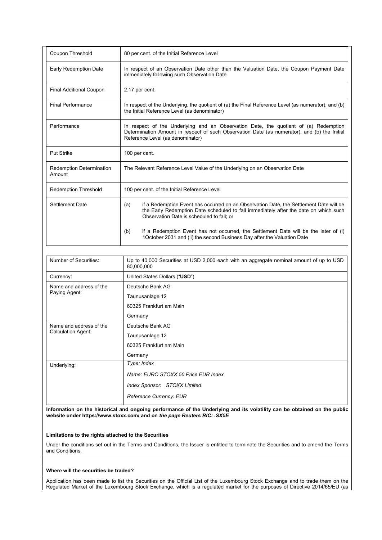| Coupon Threshold                          | 80 per cent. of the Initial Reference Level                                                                                                                                                                                        |
|-------------------------------------------|------------------------------------------------------------------------------------------------------------------------------------------------------------------------------------------------------------------------------------|
| Early Redemption Date                     | In respect of an Observation Date other than the Valuation Date, the Coupon Payment Date<br>immediately following such Observation Date                                                                                            |
| <b>Final Additional Coupon</b>            | 2.17 per cent.                                                                                                                                                                                                                     |
| <b>Final Performance</b>                  | In respect of the Underlying, the quotient of (a) the Final Reference Level (as numerator), and (b)<br>the Initial Reference Level (as denominator)                                                                                |
| Performance                               | In respect of the Underlying and an Observation Date, the quotient of (a) Redemption<br>Determination Amount in respect of such Observation Date (as numerator), and (b) the Initial<br>Reference Level (as denominator)           |
| <b>Put Strike</b>                         | 100 per cent.                                                                                                                                                                                                                      |
| <b>Redemption Determination</b><br>Amount | The Relevant Reference Level Value of the Underlying on an Observation Date                                                                                                                                                        |
| <b>Redemption Threshold</b>               | 100 per cent. of the Initial Reference Level                                                                                                                                                                                       |
| Settlement Date                           | if a Redemption Event has occurred on an Observation Date, the Settlement Date will be<br>(a)<br>the Early Redemption Date scheduled to fall immediately after the date on which such<br>Observation Date is scheduled to fall: or |
|                                           | if a Redemption Event has not occurred, the Settlement Date will be the later of (i)<br>(b)<br>1 October 2031 and (ii) the second Business Day after the Valuation Date                                                            |

| Number of Securities:                         | Up to 40,000 Securities at USD 2,000 each with an aggregate nominal amount of up to USD<br>80,000,000 |
|-----------------------------------------------|-------------------------------------------------------------------------------------------------------|
| Currency:                                     | United States Dollars ("USD")                                                                         |
| Name and address of the<br>Paying Agent:      | Deutsche Bank AG                                                                                      |
|                                               | Taunusanlage 12                                                                                       |
|                                               | 60325 Frankfurt am Main                                                                               |
|                                               | Germany                                                                                               |
| Name and address of the<br>Calculation Agent: | Deutsche Bank AG                                                                                      |
|                                               | Taunusanlage 12                                                                                       |
|                                               | 60325 Frankfurt am Main                                                                               |
|                                               | Germany                                                                                               |
| Underlying:                                   | Type: Index                                                                                           |
|                                               | Name: EURO STOXX 50 Price EUR Index                                                                   |
|                                               | Index Sponsor: STOXX Limited                                                                          |
|                                               | Reference Currency: EUR                                                                               |

**Information on the historical and ongoing performance of the Underlying and its volatility can be obtained on the public website under https://www.stoxx.com/ and on** *the page Reuters RIC: .SX5E*

## **Limitations to the rights attached to the Securities**

Under the conditions set out in the Terms and Conditions, the Issuer is entitled to terminate the Securities and to amend the Terms and Conditions.

## **Where will the securities be traded?**

Application has been made to list the Securities on the Official List of the Luxembourg Stock Exchange and to trade them on the Regulated Market of the Luxembourg Stock Exchange, which is a regulated market for the purposes of Directive 2014/65/EU (as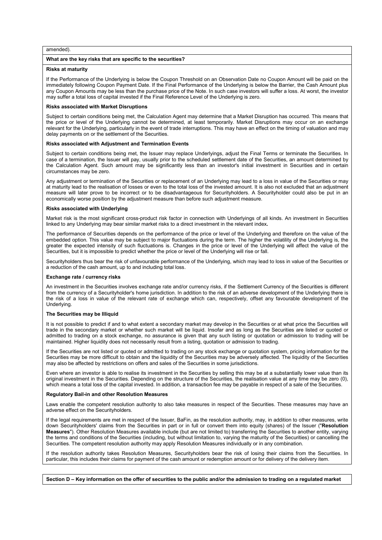### amended).

## **What are the key risks that are specific to the securities?**

#### **Risks at maturity**

If the Performance of the Underlying is below the Coupon Threshold on an Observation Date no Coupon Amount will be paid on the immediately following Coupon Payment Date. If the Final Performance of the Underlying is below the Barrier, the Cash Amount plus any Coupon Amounts may be less than the purchase price of the Note. In such case investors will suffer a loss. At worst, the investor may suffer a total loss of capital invested if the Final Reference Level of the Underlying is zero.

#### **Risks associated with Market Disruptions**

Subject to certain conditions being met, the Calculation Agent may determine that a Market Disruption has occurred. This means that the price or level of the Underlying cannot be determined, at least temporarily. Market Disruptions may occur on an exchange relevant for the Underlying, particularly in the event of trade interruptions. This may have an effect on the timing of valuation and may delay payments on or the settlement of the Securities.

## **Risks associated with Adjustment and Termination Events**

Subject to certain conditions being met, the Issuer may replace Underlyings, adjust the Final Terms or terminate the Securities. In case of a termination, the Issuer will pay, usually prior to the scheduled settlement date of the Securities, an amount determined by the Calculation Agent. Such amount may be significantly less than an investor's initial investment in Securities and in certain circumstances may be zero.

Any adjustment or termination of the Securities or replacement of an Underlying may lead to a loss in value of the Securities or may at maturity lead to the realisation of losses or even to the total loss of the invested amount. It is also not excluded that an adjustment measure will later prove to be incorrect or to be disadvantageous for Securityholders. A Securityholder could also be put in an economically worse position by the adjustment measure than before such adjustment measure.

#### **Risks associated with Underlying**

Market risk is the most significant cross-product risk factor in connection with Underlyings of all kinds. An investment in Securities linked to any Underlying may bear similar market risks to a direct investment in the relevant index**.**

The performance of Securities depends on the performance of the price or level of the Underlying and therefore on the value of the embedded option. This value may be subject to major fluctuations during the term. The higher the volatility of the Underlying is, the greater the expected intensity of such fluctuations is. Changes in the price or level of the Underlying will affect the value of the Securities, but it is impossible to predict whether the price or level of the Underlying will rise or fall.

Securityholders thus bear the risk of unfavourable performance of the Underlying, which may lead to loss in value of the Securities or a reduction of the cash amount, up to and including total loss.

#### **Exchange rate / currency risks**

An investment in the Securities involves exchange rate and/or currency risks, if the Settlement Currency of the Securities is different from the currency of a Securityholder's home jurisdiction. In addition to the risk of an adverse development of the Underlying there is the risk of a loss in value of the relevant rate of exchange which can, respectively, offset any favourable development of the Underlying.

#### **The Securities may be Illiquid**

It is not possible to predict if and to what extent a secondary market may develop in the Securities or at what price the Securities will trade in the secondary market or whether such market will be liquid. Insofar and as long as the Securities are listed or quoted or admitted to trading on a stock exchange, no assurance is given that any such listing or quotation or admission to trading will be maintained. Higher liquidity does not necessarily result from a listing, quotation or admission to trading.

If the Securities are not listed or quoted or admitted to trading on any stock exchange or quotation system, pricing information for the Securities may be more difficult to obtain and the liquidity of the Securities may be adversely affected. The liquidity of the Securities may also be affected by restrictions on offers and sales of the Securities in some jurisdictions.

Even where an investor is able to realise its investment in the Securities by selling this may be at a substantially lower value than its original investment in the Securities. Depending on the structure of the Securities, the realisation value at any time may be zero (0), which means a total loss of the capital invested. In addition, a transaction fee may be payable in respect of a sale of the Securities.

#### **Regulatory Bail-in and other Resolution Measures**

Laws enable the competent resolution authority to also take measures in respect of the Securities. These measures may have an adverse effect on the Securityholders.

If the legal requirements are met in respect of the Issuer, BaFin, as the resolution authority, may, in addition to other measures, write down Securityholders' claims from the Securities in part or in full or convert them into equity (shares) of the Issuer ("**Resolution Measures**"). Other Resolution Measures available include (but are not limited to) transferring the Securities to another entity, varying the terms and conditions of the Securities (including, but without limitation to, varying the maturity of the Securities) or cancelling the Securities. The competent resolution authority may apply Resolution Measures individually or in any combination.

If the resolution authority takes Resolution Measures, Securityholders bear the risk of losing their claims from the Securities. In particular, this includes their claims for payment of the cash amount or redemption amount or for delivery of the delivery item.

**Section D – Key information on the offer of securities to the public and/or the admission to trading on a regulated market**